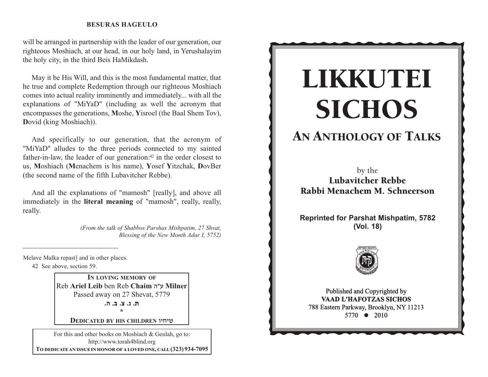will be arranged in partnership with the leader of our generation, our righteous Moshiach, at our head, in our holy land, in Yerushalayim the holy city, in the third Beis HaMikdash.

May it be His Will, and this is the most fundamental matter, that he true and complete Redemption through our righteous Moshiach comes into actual reality imminently and immediately... with all the explanations of "MiYaD" (including as well the acronym that encompasses the generations, **M**oshe, **Y**isroel (the Baal Shem Tov), **D**ovid (king Moshiach)).

And specifically to our generation, that the acronym of "MiYaD" alludes to the three periods connected to my sainted father-in-law, the leader of our generation: $42$  in the order closest to us, **M**oshiach ( **M**enachem is his name), **Y**osef **Y**itzchak, **D**ovBer (the second name of the fifth Lubavitcher Rebbe).

And all the explanations of "mamosh" [really], and above all immediately in the **literal meaning** of "mamosh", really, really, really.

> *(From the talk of Shabbos Parshas Mishpatim, 27 Shvat, Blessing of the New Month Adar I, 5752)*

Melave Malka repast] and in other places.

42 See above, section 59.

**IN LOVING MEMORY OF** Reb **Ariel Leib** ben Reb **Chaim** vWg **Milner**  Passed away on 27 Shevat, 5779 **/v /c /m /b /, \*** 

**DEDICATED BY HIS CHILDREN** uhjha

For this and other books on Moshiach & Geulah, go to: http://www.torah4blind.org  $\bf{To \textbf{DEDICATE AN} \textbf{ISSUE} \textbf{IN HONOR} \textbf{OF A LOVED ONE, CALL} \textbf{(323)} \textbf{934-7095}}$ 

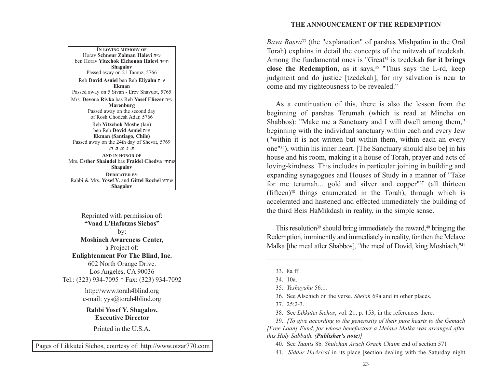**THE ANNOUNCEMENT OF THE REDEMPTION**

*Bava Basra*<sup>33</sup> (the "explanation" of parshas Mishpatim in the Oral Torah) explains in detail the concepts of the mitzvah of tzedekah. Among the fundamental ones is "Great34 is tzedekah **for it brings close the Redemption**, as it says,  $35$  "Thus says the L-rd, keep judgment and do justice [tzedekah], for my salvation is near to come and my righteousness to be revealed."

As a continuation of this, there is also the lesson from the beginning of parshas Terumah (which is read at Mincha on Shabbos): "Make me a Sanctuary and I will dwell among them," beginning with the individual sanctuary within each and every Jew ("within it is not written but within them, within each an every one"36), within his inner heart. [The Sanctuary should also be] in his house and his room, making it a house of Torah, prayer and acts of loving-kindness. This includes in particular joining in building and expanding synagogues and Houses of Study in a manner of "Take for me terumah... gold and silver and copper"37 (all thirteen  $(fifteen)<sup>38</sup>$  things enumerated in the Torah), through which is accelerated and hastened and effected immediately the building of the third Beis HaMikdash in reality, in the simple sense.

This resolution<sup>39</sup> should bring immediately the reward,<sup>40</sup> bringing the Redemption, imminently and immediately in reality, for then the Melave Malka [the meal after Shabbos], "the meal of Dovid, king Moshiach,"<sup>41</sup>

A PARALLEL BETWEEN MANNA AND SHABBOS Mrs. **Devora Rivka** bas Reb **Yosef Eliezer** v"g **Marenburg IN LOVING MEMORY OF**Horav **Schneur Zalman Halevi** v"g ben Horav **Yitzchok Elchonon Halevi** s"hv**Shagalov** Passed away on 21 Tamuz, 5766 Reb **Dovid Asniel** ben Reb **Eliyahu** <sup>v</sup>"g **Ekman**Passed away on 5 Sivan - Erev Shavuot, 5765 Passed away on the second day of Rosh Chodesh Adar, 5766 Reb **Yitzchok Moshe** (Ian) ben Reb **Dovid Asniel** v"g **Ekman (Santiago, Chile)** Passed away on the 24th day of Shevat, 5769 **/v /c /m /b /, AND IN HONOR OF**Mrs. **Esther Shaindel** bas **Fraidel Chedva** whj,a**Shagalov DEDICATED BY**Rabbi & Mrs. **Yosef Y.** and **Gittel Rochel** uhjha**Shagalov**

Reprinted with permission of: **"Vaad L'Hafotzas Sichos"**by: **Moshiach Awareness Center,** a Project of: **Enlightenment For The Blind, Inc.** 602 North Orange Drive. Los Angeles, CA 90036 Tel.: (323) 934-7095 \* Fax: (323) 934-7092

> http://www.torah4blind.org e-mail: yys@torah4blind.org

**Rabbi Yosef Y. Shagalov, Executive Director**

Printed in the U.S.A.

Pages of Likkutei Sichos, courtesy of: http://www.otzar770.com

<sup>33. 8</sup>a ff.

<sup>34. 10</sup>a.

<sup>35.</sup> *Yeshayahu* 56:1.

<sup>36.</sup> See Alschich on the verse. *Sheloh* 69a and in other places.

<sup>37. 25:2-3.</sup>

<sup>38.</sup> See *Likkutei Sichos*, vol. 21, p. 153, in the references there.

<sup>39.</sup> *[To give according to the generosity of their pure hearts to the Gemach [Free Loan] Fund, for whose benefactors a Melave Malka was arranged after this Holy Sabbath. (Publisher's note)]*

<sup>40.</sup> See *Taanis* 8b. *Shulchan Aruch Orach Chaim* end of section 571.

<sup>41.</sup> *Siddur HaArizal* in its place [section dealing with the Saturday night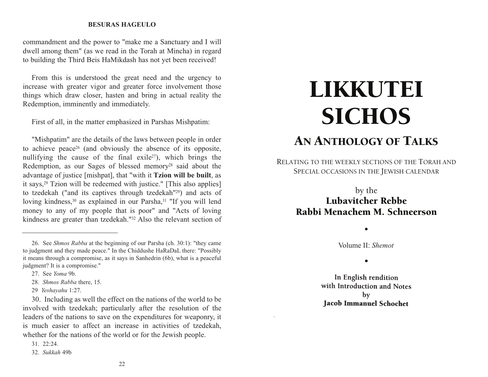commandment and the power to "make me a Sanctuary and I will dwell among them" (as we read in the Torah at Mincha) in regard to building the Third Beis HaMikdash has not yet been received!

From this is understood the great need and the urgency to increase with greater vigor and greater force involvement those things which draw closer, hasten and bring in actual reality the Redemption, imminently and immediately.

First of all, in the matter emphasized in Parshas Mishpatim:

"Mishpatim" are the details of the laws between people in order to achieve peace26 (and obviously the absence of its opposite, nullifying the cause of the final exile<sup>27</sup>), which brings the Redemption, as our Sages of blessed memory28 said about the advantage of justice [mishpat], that "with it **Tzion will be built**, as it says,29 Tzion will be redeemed with justice." [This also applies] to tzedekah ("and its captives through tzedekah"29) and acts of loving kindness,<sup>30</sup> as explained in our Parsha,<sup>31</sup> "If you will lend money to any of my people that is poor" and "Acts of loving kindness are greater than tzedekah."32 Also the relevant section of

30. Including as well the effect on the nations of the world to be involved with tzedekah; particularly after the resolution of the leaders of the nations to save on the expenditures for weaponry, it is much easier to affect an increase in activities of tzedekah, whether for the nations of the world or for the Jewish people.

31. 22:24.

# LIKKUTEI **SICHOS**

# AN ANTHOLOGY OF TALKS

RELATING TO THE WEEKLY SECTIONS OF THE TORAH AND SPECIAL OCCASIONS IN THE JEWISH CALENDAR

# by the Lubavitcher Rebbe Rabbi Menachem M. Schneerson

Volume II: *Shemot*

•

 $\bullet$ 

In English rendition with Introduction and Notes  $$ **Jacob Immanuel Schochet** 

<sup>26.</sup> See *Shmos Rabba* at the beginning of our Parsha (ch. 30:1): "they came to judgment and they made peace." In the Chiddushe HaRaDaL there: "Possibly it means through a compromise, as it says in Sanhedrin (6b), what is a peaceful judgment? It is a compromise."

<sup>27.</sup> See *Yoma* 9b.

<sup>28.</sup> *Shmos Rabba* there, 15.

<sup>29</sup> *Yeshayahu* 1:27.

<sup>32.</sup> *Sukkah* 49b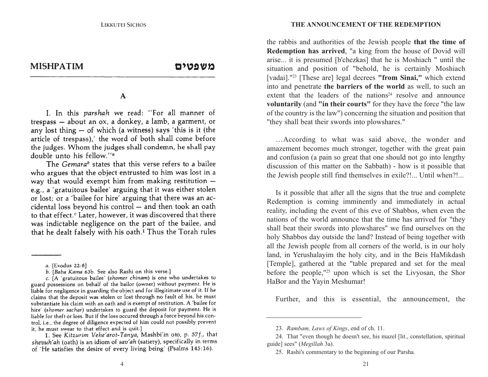**MISHPATIM** 

#### משפטים

### $\overline{A}$  **Parallel between**  $\overline{A}$

I. In this parshah we read: "For all manner of trespass  $-$  about an ox, a donkey, a lamb, a garment, or any lost thing  $-$  of which (a witness) says 'this is it (the article of trespass),' the word of both shall come before the judges. Whom the judges shall condemn, he shall pay double unto his fellow."<sup>a</sup>

The Gemara<sup>b</sup> states that this verse refers to a bailee who argues that the object entrusted to him was lost in a way that would exempt him from making restitution e.g., a 'gratuitous bailee' arguing that it was either stolen or lost: or a 'bailee for hire' arguing that there was an accidental loss beyond his control - and then took an oath to that effect.<sup>c</sup> Later, however, it was discovered that there was indictable negligence on the part of the bailee, and that he dealt falsely with his oath.<sup>1</sup> Thus the Torah rules the rabbis and authorities of the Jewish people **that the time of Redemption has arrived**, "a king from the house of Dovid will arise... it is presumed [b'chezkas] that he is Moshiach " until the situation and position of "behold, he is certainly Moshiach [vadai]."23 [These are] legal decrees **"from Sinai,"** which extend into and penetrate **the barriers of the world** as well, to such an extent that the leaders of the nations<sup>24</sup> resolve and announce **voluntarily** (and **"in their courts"** for they have the force "the law of the country is the law") concerning the situation and position that "they shall beat their swords into plowshares."

…According to what was said above, the wonder and amazement becomes much stronger, together with the great pain and confusion (a pain so great that one should not go into lengthy discussion of this matter on the Sabbath) - how is it possible that the Jewish people still find themselves in exile?!... Until when?!...

Is it possible that after all the signs that the true and complete Redemption is coming imminently and immediately in actual reality, including the event of this eve of Shabbos, when even the nations of the world announce that the time has arrived for "they shall beat their swords into plowshares" we find ourselves on the holy Shabbos day outside the land? Instead of being together with all the Jewish people from all corners of the world, is in our holy land, in Yerushalayim the holy city, and in the Beis HaMikdash [Temple], gathered at the "table prepared and set for the meal before the people,"25 upon which is set the Livyosan, the Shor HaBor and the Yayin Meshumar!

Further, and this is essential, the announcement, the

a. [Exodus 22:8]

b. [Baba Kama 63b. See also Rashi on this verse.]

c. [A 'gratuitous bailee' (shomer chinam) is one who undertakes to guard possessions on behalf of the bailor (owner) without payment. He is liable for negligence in guarding the object and for illegitimate use of it. If he claims that the deposit was stolen or lost through no fault of his, he must substantiate his claim with an oath and is exempt of restitution. A 'bailee for hire' (shomer sachar) undertakes to guard the deposit for payment. He is liable for theft or loss. But if the loss occured through a force beyond his control, i.e., the degree of diligence expected of him could not possibly prevent it, he must swear to that effect and is quit.]

<sup>1.</sup> See Kitzurim Vehe'arot-Tanya, Mashbi'in oto, p. 57f., that shevuh'ah (oath) is an idiom of sav'ah (satiety), specifically in terms of 'He satisfies the desire of every living being' (Psalms 145:16).

<sup>23.</sup> *Rambam, Laws of Kings*, end of ch. 11.

<sup>24.</sup> That "even though he doesn't see, his mazel [lit., constellation, spiritual guide] sees" (*Megillah* 3a).

<sup>25.</sup> Rashi's commentary to the beginning of our Parsha.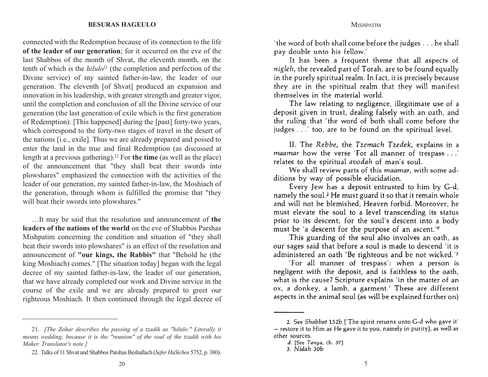connected with the Redemption because of its connection to the life **of the leader of our generation**; for it occurred on the eve of the last Shabbos of the month of Shvat, the eleventh month, on the tenth of which is the *hilulo*<sup>21</sup> (the completion and perfection of the Divine service) of my sainted father-in-law, the leader of our generation. The eleventh [of Shvat] produced an expansion and innovation in his leadership, with greater strength and greater vigor, until the completion and conclusion of all the Divine service of our generation (the last generation of exile which is the first generation of Redemption). [This happened] during the [past] forty-two years, which correspond to the forty-two stages of travel in the desert of the nations [i.e., exile]. Thus we are already prepared and poised to enter the land in the true and final Redemption (as discussed at length at a previous gathering).22 For **the time** (as well as the place) of the announcement that "they shall beat their swords into plowshares" emphasized the connection with the activities of the leader of our generation, my sainted father-in-law, the Moshiach of the generation, through whom is fulfilled the promise that "they will beat their swords into plowshares."

…It may be said that the resolution and announcement of **the leaders of the nations of the world** on the eve of Shabbos Parshas Mishpatim concerning the condition and situation of "they shall beat their swords into plowshares" is an effect of the resolution and announcement of **"our kings, the Rabbis"** that "Behold he (the king Moshiach) comes." [The situation today] began with the legal decree of my sainted father-in-law, the leader of our generation, that we have already completed our work and Divine service in the course of the exile and we are already prepared to greet our righteous Moshiach. It then continued through the legal decree of

'the word of both shall come before the judges . . . he shall pay double unto his fellow.'

It has been a frequent theme that all aspects of nigleh, the revealed part of Torah, are to be found equally in the purely spiritual realm. In fact, it is precisely because they are in the spiritual realm that they will manifest themselves in the material world.

The law relating to negligence, illegitimate use of a deposit given in trust, dealing falsely with an oath, and the ruling that 'the word of both shall come before the judges . . .' too, are to be found on the spiritual level.

II. The Rebbe, the Tzemach Tzedek, explains in a maamar how the verse 'For all manner of trespass . . .' relates to the spiritual avodah of man's soul.

We shall review parts of this *maamar*, with some additions by way of possible elucidation.

Every Jew has a deposit entrusted to him by G-d, namely the soul.<sup>2</sup> He must guard it so that it remain whole and will not be blemished, Heaven forbid. Moreover, he must elevate the soul to a level transcending its status prior to its descent; for the soul's descent into a body must be 'a descent for the purpose of an ascent.'<sup>d</sup>

This guarding of the soul also involves an oath, as our sages said that before a soul is made to descend 'it is administered an oath 'Be righteous and be not wicked.'<sup>3</sup>

'For all manner of trespass': when a person is negligent with the deposit, and is faithless to the oath, what is the cause? Scripture explains 'in the matter of an ox, a donkey, a lamb, a garment.' These are different aspects in the animal soul (as will be explained further on)

<sup>21.</sup> *[The Zohar describes the passing of a tzadik as "hilulo." Literally it means wedding, because it is the "reunion" of the soul of the tzadik with his Maker. Translator's note.]*

<sup>22.</sup> Talks of 11 Shvat and Shabbos Parshas Beshallach (*Sefer HaSichos* 5752, p. 380).

<sup>2.</sup> See Shabbat 152b ['The spirit returns unto G-d who gave it' - restore it to Him as He gave it to you, namely in purity], as well as other sources.

d. [See Tanya, ch. 37]

<sup>3.</sup> Nidah 30b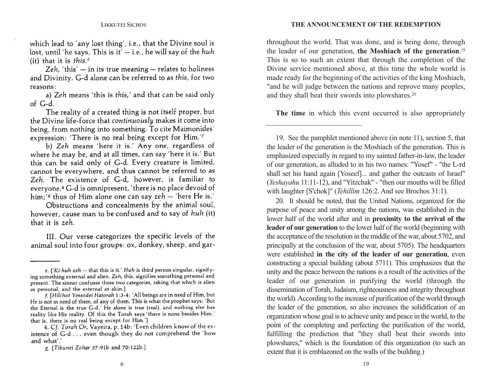which lead to 'any lost thing', i.e., that the Divine soul is lost, until 'he says, This is it'  $-$  i.e., he will say of the huh (it) that it is this.<sup> $e$ </sup>

Zeh, 'this'  $-$  in its true meaning  $-$  relates to holiness and Divinity. G-d alone can be referred to as this, for two reasons:

A PARALLEL BETWEEN MANNA AND SHABBOS

The reality of a created thing is not itself proper, but the Divine life-force that *continuously* makes it come into being, from nothing into something. To cite Maimonides' expression: 'There is no real being except for Him.''

b) Zeh means 'here it is.' Any one, regardless of where he may be, and at all times, can say 'here it is.' But this can be said only of G-d. Every creature is limited, cannot be everywhere, and thus cannot be referred to as Zeh. The existence of G-d, however, is familiar to everyone.<sup>4</sup> G-d is omnipresent, 'there is no place devoid of him;'s thus of Him alone one can say  $zeh$  – 'here He is.'

Obstructions and concealments by the animal soul, however, cause man to be confused and to say of huh (it) that it is zeh.

III. Our verse categorizes the specific levels of the animal soul into four groups: ox, donkey, sheep, and garthroughout the world. That was done, and is being done, through the leader of our generation, **the Moshiach of the generation**.<sup>19</sup> This is so to such an extent that through the completion of the Divine service mentioned above, at this time the whole world is made ready for the beginning of the activities of the king Moshiach, "and he will judge between the nations and reprove many peoples, and they shall beat their swords into plowshares.20

**The time** in which this event occurred is also appropriately

19. See the pamphlet mentioned above (in note 11), section 5, that the leader of the generation is the Moshiach of the generation. This is emphasized especially in regard to my sainted father-in-law, the leader of our generation, as alluded to in his two names: "Yosef" - "the L-rd shall set his hand again [Yoseef]... and gather the outcasts of Israel" (*Yeshayahu* 11:11-12), and "Yitzchak" - "then our mouths will be filled with laughter [S'chok]" (*Tehillim* 126:2. And see Brochos 31:1).

20. It should be noted, that the United Nations, organized for the purpose of peace and unity among the nations, was established in the lower half of the world after and in **proximity to the arrival of the leader of our generation** to the lower half of the world (beginning with the acceptance of the resolution in the middle of the war, about 5702, and principally at the conclusion of the war, about 5705). The headquarters were established **in the city of the leader of our generation**, even constructing a special building (about 5711). This emphasizes that the unity and the peace between the nations is a result of the activities of the leader of our generation in purifying the world (through the dissemination of Torah, Judaism, righteousness and integrity throughout the world). According to the increase of purification of the world through the leader of the generation, so also increases the solidification of an organization whose goal is to achieve unity and peace in the world, to the point of the completing and perfecting the purification of the world, fulfilling the prediction that "they shall beat their swords into plowshares," which is the foundation of this organization (to such an extent that it is emblazoned on the walls of the building.)

e. ['Ki huh zeh - that this is it.' Huh is third person singular, signifying something external and alien. Zeh, this, signifies something personal and present. The sinner confuses these two categories, taking that which is alien as personal, and the external as akin.]

f. [Hilchot Yessodei Hatorah 1:3-4: 'All beings are in need of Him, but He is not in need of them, of any of them. This is what the prophet says: 'But the Eternal is the true G-d.' He alone is true (real), and nothing else has reality like His reality. Of this the Torah says 'there is none besides Him;' that is, there is no real being except for Him.']

<sup>4.</sup> Cf. Torah Or, Vayeira, p. 14b: 'Even children know of the existence of G-d... even though they do not comprehend the 'how and what'.'

g. [Tikunei Zohar 57:91b and 70:122b.]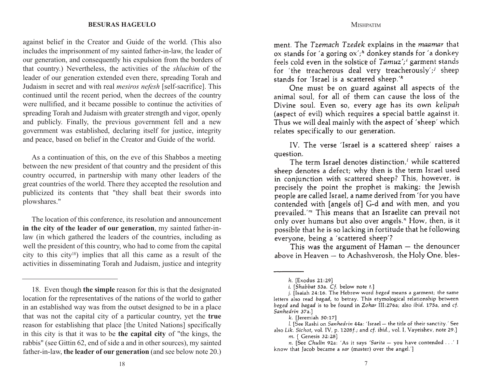against belief in the Creator and Guide of the world. (This also includes the imprisonment of my sainted father-in-law, the leader of our generation, and consequently his expulsion from the borders of that country.) Nevertheless, the activities of the *shluchim* of the leader of our generation extended even there, spreading Torah and Judaism in secret and with real *mesiros nefesh* [self-sacrifice]. This continued until the recent period, when the decrees of the country were nullified, and it became possible to continue the activities of spreading Torah and Judaism with greater strength and vigor, openly and publicly. Finally, the previous government fell and a new government was established, declaring itself for justice, integrity and peace, based on belief in the Creator and Guide of the world.

As a continuation of this, on the eve of this Shabbos a meeting between the new president of that country and the president of this country occurred, in partnership with many other leaders of the great countries of the world. There they accepted the resolution and publicized its contents that "they shall beat their swords into plowshares."

The location of this conference, its resolution and announcement **in the city of the leader of our generation**, my sainted father-inlaw (in which gathered the leaders of the countries, including as well the president of this country, who had to come from the capital city to this city18) implies that all this came as a result of the activities in disseminating Torah and Judaism, justice and integrity ment. The Tzemach Tzedek explains in the maamar that ox stands for 'a goring  $\alpha x'$ ;<sup>*h*</sup> donkey stands for 'a donkey feels cold even in the solstice of Tamuz';<sup>*i*</sup> garment stands for 'the treacherous deal very treacherously';<sup>j</sup> sheep stands for 'Israel is a scattered sheep.'<sup>k</sup>

One must be on guard against all aspects of the animal soul, for all of them can cause the loss of the Divine soul. Even so, every age has its own kelipah (aspect of evil) which requires a special battle against it. Thus we will deal mainly with the aspect of 'sheep' which relates specifically to our generation.

IV. The verse 'Israel is a scattered sheep' raises a question.

The term Israel denotes distinction,<sup>*l*</sup> while scattered sheep denotes a defect; why then is the term Israel used in conjunction with scattered sheep? This, however, is precisely the point the prophet is making: the Jewish people are called Israel, a name derived from 'for you have contended with [angels of] G-d and with men, and you prevailed. $\mathbb{R}^m$  This means that an Israelite can prevail not only over humans but also over angels." How, then, is it possible that he is so lacking in fortitude that he following everyone, being a 'scattered sheep'?

This was the argument of Haman  $-$  the denouncer above in Heaven - to Achashverosh, the Holy One, bles-

<sup>18.</sup> Even though **the simple** reason for this is that the designated location for the representatives of the nations of the world to gather in an established way was from the outset designed to be in a place that was not the capital city of a particular country, yet the **true** reason for establishing that place [the United Nations] specifically in this city is that it was to be **the capital city** of "the kings, the rabbis" (see Gittin 62, end of side a and in other sources), my sainted father-in-law, **the leader of our generation** (and see below note 20.)

h. [Exodus 21:29]

i. [Shabbat 53a. Cf. below note t.]

j. [Isaiah 24:16. The Hebrew word beged means a garment; the same letters also read bagad, to betray. This etymological relationship between beged and bagad is to be found in Zohar III:276a; also ibid. 175a, and cf. Sanhedrin 37a.]

 $k.$  [Jeremiah  $50:17$ ]

l. [See Rashi on Sanhedrin 44a: 'Israel - the title of their sanctity.' See also Lik. Sichot, vol. IV, p. 1208f.; and cf. ibid., vol. I, Vayeishev, note 29.] m. [ Genesis 32:28]

n. [See Chulin 92a: 'As it says 'Sarita - you have contended . . .' I know that Jacob became a sar (master) over the angel.']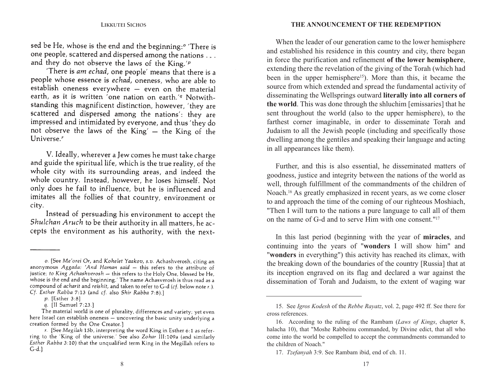#### **THE ANNOUNCEMENT OF THE REDEMPTION**

sed be He, whose is the end and the beginning:<sup>o</sup> There is one people, scattered and dispersed among the nations ... and they do not observe the laws of the King.'<sup>p</sup>

There is am echad, one people' means that there is a people whose essence is echad, oneness, who are able to establish oneness everywhere - even on the material earth, as it is written 'one nation on earth.'<sup>9</sup> Notwith-<br>standing this magnificent distinction, however, 'they are scattered and dispersed among the nations': they are impressed and intimidated by everyone, and thus 'they do not observe the laws of the King' - the King of the Universe.<sup>r</sup>

V. Ideally, wherever a Jew comes he must take charge and guide the spiritual life, which is the true reality, of the whole city with its surrounding areas, and indeed the whole country. Instead, however, he loses himself. Not only does he fail to influence, but he is influenced and imitates all the follies of that country, environment or city.

Instead of persuading his environment to accept the Shulchan Aruch to be their authority in all matters, he accepts the environment as his authority, with the next-

When the leader of our generation came to the lower hemisphere and established his residence in this country and city, there began in force the purification and refinement **of the lower hemisphere**, extending there the revelation of the giving of the Torah (which had been in the upper hemisphere<sup>15</sup>). More than this, it became the source from which extended and spread the fundamental activity of disseminating the Wellsprings outward **literally into all corners of the world**. This was done through the shluchim [emissaries] that he sent throughout the world (also to the upper hemisphere), to the farthest corner imaginable, in order to disseminate Torah and Judaism to all the Jewish people (including and specifically those dwelling among the gentiles and speaking their language and acting in all appearances like them).

Further, and this is also essential, he disseminated matters of goodness, justice and integrity between the nations of the world as well, through fulfillment of the commandments of the children of Noach.16 As greatly emphasized in recent years, as we come closer to and approach the time of the coming of our righteous Moshiach, "Then I will turn to the nations a pure language to call all of them on the name of G-d and to serve Him with one consent."17

In this last period (beginning with the year of **miracles**, and continuing into the years of "**wonders** I will show him" and "**wonders** in everything") this activity has reached its climax, with the breaking down of the boundaries of the country [Russia] that at its inception engraved on its flag and declared a war against the dissemination of Torah and Judaism, to the extent of waging war

o. [See Me'orei Or, and Kohelet Yaakov, s.v. Achashverosh, citing an anonymous Aggada: 'And Haman said - this refers to the attribute of justice; to King Achashverosh - this refers to the Holy One, blessed be He, whose is the end and the beginning.' The name Achasverosh is thus read as a compound of acharit and reishit, and taken to refer to G-d (cf. below note r.). Cf. Esther Rabba 7:13 (and cf. also Shir Rabba 7:8).]

p. [Esther 3:8]

q. [II Samuel 7:23.]

The material world is one of plurality, differences and variety; yet even here Israel can establish oneness - uncovering the basic unity underlying a creation formed by the One Creator.]

r. [See Megilah 15b, interpreting the word King in Esther 6:1 as referring to the 'King of the universe.' See also Zohar III:109a (and similarly Esther Rabba 3:10) that the unqualified term King in the Megillah refers to  $G-d.$ 

<sup>15.</sup> See *Igros Kodesh* of the *Rebbe Rayatz*, vol. 2, page 492 ff. See there for cross references.

<sup>16.</sup> According to the ruling of the Rambam (*Laws of Kings*, chapter 8, halacha 10), that "Moshe Rabbeinu commanded, by Divine edict, that all who come into the world be compelled to accept the commandments commanded to the children of Noach."

<sup>17.</sup> *Tzefanyah* 3:9. See Rambam ibid, end of ch. 11.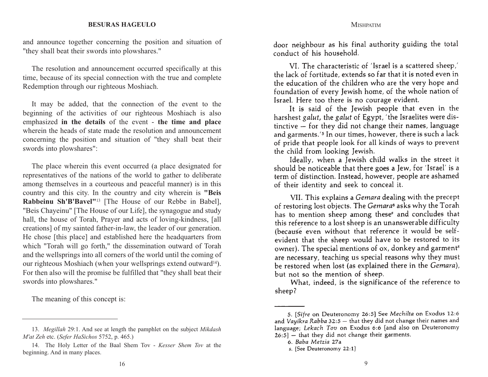#### **MISHPATIM**

#### **BESURAS HAGEULO**

and announce together concerning the position and situation of "they shall beat their swords into plowshares."

The resolution and announcement occurred specifically at this time, because of its special connection with the true and complete Redemption through our righteous Moshiach.

It may be added, that the connection of the event to the beginning of the activities of our righteous Moshiach is also emphasized **in the details** of the event - **the time and place** wherein the heads of state made the resolution and announcementconcerning the position and situation of "they shall beat their swords into plowshares":

The place wherein this event occurred (a place designated for representatives of the nations of the world to gather to deliberate among themselves in a courteous and peaceful manner) is in this country and this city. In the country and city wherein is **"Beis Rabbeinu Sh'B'Bavel"**<sup>13</sup> [The House of our Rebbe in Babel], "Beis Chayeinu" [The House of our Life], the synagogue and study hall, the house of Torah, Prayer and acts of loving-kindness, [all creations] of my sainted father-in-law, the leader of our generation. He chose [this place] and established here the headquarters from which "Torah will go forth," the dissemination outward of Torah and the wellsprings into all corners of the world until the coming of our righteous Moshiach (when your wellsprings extend outward<sup>14</sup>). For then also will the promise be fulfilled that "they shall beat their swords into plowshares."

The meaning of this concept is:

door neighbour as his final authority guiding the total conduct of his household.

VI. The characteristic of 'Israel is a scattered sheep,' the lack of fortitude, extends so far that it is noted even in the education of the children who are the very hope and foundation of every Jewish home, of the whole nation of Israel. Here too there is no courage evident.

It is said of the Jewish people that even in the harshest galut, the galut of Egypt, 'the Israelites were distinctive - for they did not change their names, language and garments.<sup>'5</sup> In our times, however, there is such a lack of pride that people look for all kinds of ways to prevent the child from looking Jewish.

Ideally, when a Jewish child walks in the street it should be noticeable that there goes a Jew, for 'Israel' is a term of distinction. Instead, however, people are ashamed of their identity and seek to conceal it.

VII. This explains a Gemara dealing with the precept of restoring lost objects. The Gemara<sup>6</sup> asks why the Torah has to mention sheep among these<sup>s</sup> and concludes that this reference to a lost sheep is an unanswerable difficulty (because even without that reference it would be selfevident that the sheep would have to be restored to its owner). The special mentions of ox, donkey and garment<sup>s</sup> are necessary, teaching us special reasons why they must be restored when lost (as explained there in the Gemara), but not so the mention of sheep.

What, indeed, is the significance of the reference to sheep?

<sup>13.</sup> *Megillah* 29:1. And see at length the pamphlet on the subject *Mikdash M'at Zeh* etc. (*Sefer HaSichos* 5752, p. 465.)

<sup>14.</sup> The Holy Letter of the Baal Shem Tov - *Kesser Shem Tov* at the beginning. And in many places.

<sup>5. [</sup>Sifre on Deuteronomy 26:5] See Mechilta on Exodus 12:6 and Vayikra Rabba 32:5 - that they did not change their names and language; Lekach Tov on Exodus 6:6 [and also on Deuteronomy  $26:5$  – that they did not change their garments.

<sup>6.</sup> Baba Metzia 27a

s. [See Deuteronomy 22:1]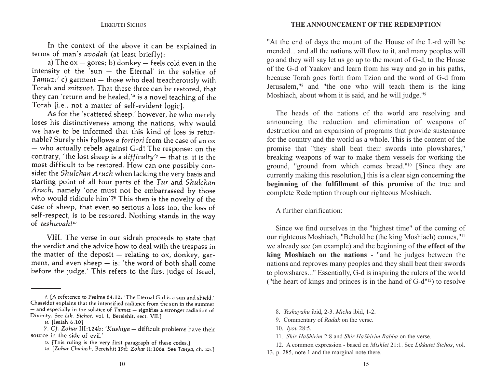In the context of the above it can be explained in terms of man's avodah (at least briefly):

a) The  $ox -$  gores; b) donkey  $-$  feels cold even in the intensity of the 'sun - the Eternal' in the solstice of Tamuz;' c) garment - those who deal treacherously with Torah and mitzvot. That these three can be restored, that they can 'return and be healed,'" is a novel teaching of the Torah [i.e., not a matter of self-evident logic].

As for the 'scattered sheep,' however, he who merely loses his distinctiveness among the nations, why would we have to be informed that this kind of loss is returnable? Surely this follows a fortiori from the case of an ox - who actually rebels against G-d! The response: on the contrary, 'the lost sheep is a difficulty'<sup>7</sup> - that is, it is the most difficult to be restored. How can one possibly consider the Shulchan Aruch when lacking the very basis and starting point of all four parts of the Tur and Shulchan Aruch, namely 'one must not be embarrassed by those who would ridicule him'?" This then is the novelty of the case of sheep, that even so serious a loss too, the loss of self-respect, is to be restored. Nothing stands in the way of teshuvah! $w$ 

VIII. The verse in our sidrah proceeds to state that the verdict and the advice how to deal with the trespass in the matter of the deposit  $-$  relating to ox, donkey, garment, and even sheep  $-$  is: 'the word of both shall come before the judge.' This refers to the first judge of Israel, "At the end of days the mount of the House of the L-rd will be mended... and all the nations will flow to it, and many peoples will go and they will say let us go up to the mount of G-d, to the House of the G-d of Yaakov and learn from his way and go in his paths, because Torah goes forth from Tzion and the word of G-d from Jerusalem,"8 and "the one who will teach them is the king Moshiach, about whom it is said, and he will judge."<sup>9</sup>

The heads of the nations of the world are resolving and announcing the reduction and elimination of weapons of destruction and an expansion of programs that provide sustenance for the country and the world as a whole. This is the content of the promise that "they shall beat their swords into plowshares," breaking weapons of war to make them vessels for working the ground, "ground from which comes bread."10 [Since they are currently making this resolution,] this is a clear sign concerning **the beginning of the fulfillment of this promise** of the true and complete Redemption through our righteous Moshiach.

A further clarification:

Since we find ourselves in the "highest time" of the coming of our righteous Moshiach, "Behold he (the king Moshiach) comes,"11 we already see (an example) and the beginning of **the effect of the king Moshiach on the nations** - "and he judges between the nations and reproves many peoples and they shall beat their swords to plowshares..." Essentially, G-d is inspiring the rulers of the world ("the heart of kings and princes is in the hand of G-d"12) to resolve

t. [A reference to Psalms 84:12: 'The Eternal G-d is a sun and shield.' Chassidut explains that the intensified radiance from the sun in the summer  $-$  and especially in the solstice of  $Tamuz$   $-$  signifies a stronger radiation of Divinity. See Lik. Sichot, vol. I, Bereishit, sect. VII.1

u. [Isaiah 6:10]

<sup>7.</sup> Cf. Zohar III:124b: 'Kushiya - difficult problems have their source in the side of evil.'

 $v$ . [This ruling is the very first paragraph of these codes.]

w. [Zohar Chadash, Bereishit 19d; Zohar II:106a. See Tanya, ch. 25.]

<sup>8.</sup> *Yeshayahu* ibid, 2-3. *Micha* ibid, 1-2.

<sup>9.</sup> Commentary of *Radak* on the verse.

<sup>10.</sup> *Iyov* 28:5.

<sup>11.</sup> *Shir HaShirim* 2:8 and *Shir HaShirim Rabba* on the verse.

<sup>12.</sup> A common expression - based on *Mishlei* 21:1. See *Likkutei Sichos*, vol. 13, p. 285, note 1 and the marginal note there.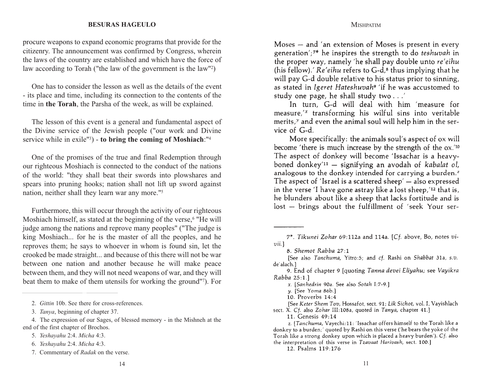procure weapons to expand economic programs that provide for the citizenry. The announcement was confirmed by Congress, wherein the laws of the country are established and which have the force of law according to Torah ("the law of the government is the law"2)

One has to consider the lesson as well as the details of the event- its place and time, including its connection to the contents of the time in **the Torah**, the Parsha of the week, as will be explained.

The lesson of this event is a general and fundamental aspect of the Divine service of the Jewish people ("our work and Divine service while in exile"3) - **to bring the coming of Moshiach**:"4

One of the promises of the true and final Redemption through our righteous Moshiach is connected to the conduct of the nations of the world: "they shall beat their swords into plowshares and spears into pruning hooks; nation shall not lift up sword against nation, neither shall they learn war any more."5

Furthermore, this will occur through the activity of our righteous Moshiach himself, as stated at the beginning of the verse,<sup>6</sup> "He will judge among the nations and reprove many peoples" ("The judge is king Moshiach... for he is the master of all the peoples, and he reproves them; he says to whoever in whom is found sin, let the crooked be made straight... and because of this there will not be war between one nation and another because he will make peace between them, and they will not need weapons of war, and they will beat them to make of them utensils for working the ground"7). For

5. *Yeshayahu* 2:4. *Micha* 4:3.

**MISHPATIM** 

Moses - and 'an extension of Moses is present in every generation';<sup>7\*</sup> he inspires the strength to do *teshuvah* in the proper way, namely 'he shall pay double unto re'eihu (his fellow).'  $Re' e$ *ihu* refers to  $G-d$ <sup>8</sup>, thus implying that he will pay G-d double relative to his status prior to sinning. as stated in Igeret Hateshuvah<sup>9</sup> 'if he was accustomed to study one page, he shall study two . . .'

In turn, G-d will deal with him 'measure for measure,'x transforming his wilful sins into veritable merits, $y$  and even the animal soul will help him in the service of  $G-d$ .

More specifically: the animals soul's aspect of ox will become 'there is much increase by the strength of the ox.'<sup>10</sup> The aspect of donkey will become 'Issachar is a heavyboned donkey<sup>'11</sup> - signifying an avodah of kabalat ol, analogous to the donkey intended for carrying a burden.<sup>2</sup> The aspect of 'Israel is a scattered sheep'  $-$  also expressed in the verse 'I have gone astray like a lost sheep, '12 that is, he blunders about like a sheep that lacks fortitude and is lost - brings about the fulfillment of 'seek Your ser-

<sup>2.</sup> *Gittin* 10b. See there for cross-references.

<sup>3.</sup> *Tanya*, beginning of chapter 37.

<sup>4.</sup> The expression of our Sages, of blessed memory - in the Mishneh at the end of the first chapter of Brochos.

<sup>6.</sup> *Yeshayahu* 2:4. *Micha* 4:3.

<sup>7.</sup> Commentary of *Radak* on the verse.

<sup>7\*.</sup> Tikunei Zohar 69:112a and 114a. [Cf. above, Bo, notes vi $vii.$ 

<sup>8.</sup> Shemot Rabba 27:1

<sup>[</sup>See also Tanchuma, Yitro:5; and cf. Rashi on Shabbat 31a, s.v. de'alach.1

<sup>9.</sup> End of chapter 9 Jquoting Tanna devei Eliyahu; see Vayikra Rabba 25:1.1

x. [Sanhedrin 90a. See also Sotah I:7-9.]

y. [See Yoma 86b.]

<sup>10.</sup> Proverbs 14:4

<sup>[</sup>See Keter Shem Tov, Hossafot, sect. 91; Lik Sichot, vol. I, Vayishlach sect. X. Cf. also Zohar III:108a, quoted in Tanya, chapter 41.]

<sup>11.</sup> Genesis 49:14

z. [Tanchuma, Vayechi:11: 'Issachar offers himself to the Torah like a donkey to a burden;' quoted by Rashi on this verse ('he bears the yoke of the Torah like a strong donkey upon which is placed a heavy burden'). Cf. also the interpretation of this verse in Tzavaat Harivash, sect. 100.]

<sup>12.</sup> Psalms 119:176